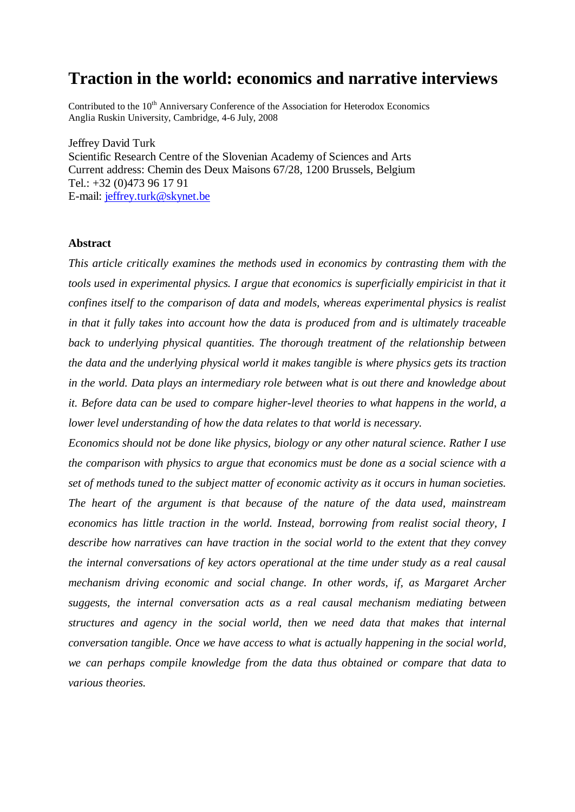# **Traction in the world: economics and narrative interviews**

Contributed to the 10<sup>th</sup> Anniversary Conference of the Association for Heterodox Economics Anglia Ruskin University, Cambridge, 4-6 July, 2008

Jeffrey David Turk Scientific Research Centre of the Slovenian Academy of Sciences and Arts Current address: Chemin des Deux Maisons 67/28, 1200 Brussels, Belgium Tel.: +32 (0)473 96 17 91 E-mail: jeffrey.turk@skynet.be

#### **Abstract**

*This article critically examines the methods used in economics by contrasting them with the tools used in experimental physics. I argue that economics is superficially empiricist in that it confines itself to the comparison of data and models, whereas experimental physics is realist in that it fully takes into account how the data is produced from and is ultimately traceable back to underlying physical quantities. The thorough treatment of the relationship between the data and the underlying physical world it makes tangible is where physics gets its traction in the world. Data plays an intermediary role between what is out there and knowledge about it. Before data can be used to compare higher-level theories to what happens in the world, a lower level understanding of how the data relates to that world is necessary.* 

*Economics should not be done like physics, biology or any other natural science. Rather I use the comparison with physics to argue that economics must be done as a social science with a set of methods tuned to the subject matter of economic activity as it occurs in human societies. The heart of the argument is that because of the nature of the data used, mainstream economics has little traction in the world. Instead, borrowing from realist social theory, I describe how narratives can have traction in the social world to the extent that they convey the internal conversations of key actors operational at the time under study as a real causal mechanism driving economic and social change. In other words, if, as Margaret Archer suggests, the internal conversation acts as a real causal mechanism mediating between structures and agency in the social world, then we need data that makes that internal conversation tangible. Once we have access to what is actually happening in the social world, we can perhaps compile knowledge from the data thus obtained or compare that data to various theories.*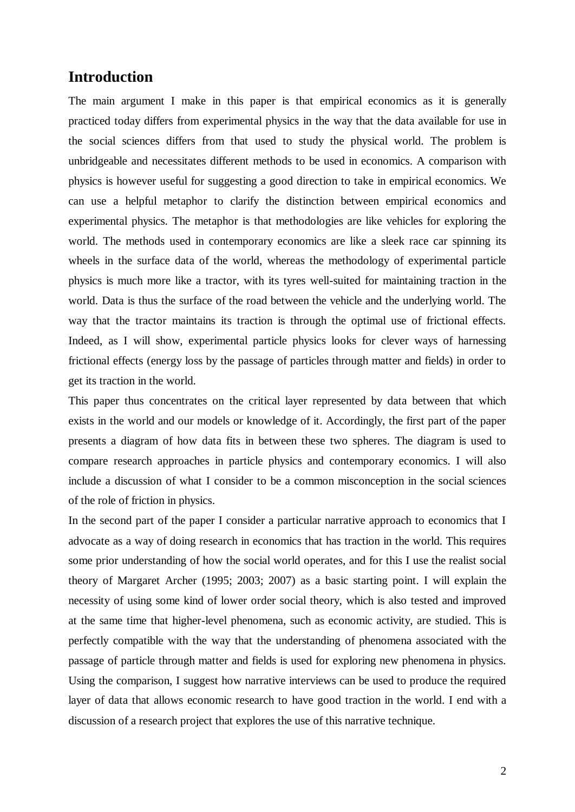# **Introduction**

The main argument I make in this paper is that empirical economics as it is generally practiced today differs from experimental physics in the way that the data available for use in the social sciences differs from that used to study the physical world. The problem is unbridgeable and necessitates different methods to be used in economics. A comparison with physics is however useful for suggesting a good direction to take in empirical economics. We can use a helpful metaphor to clarify the distinction between empirical economics and experimental physics. The metaphor is that methodologies are like vehicles for exploring the world. The methods used in contemporary economics are like a sleek race car spinning its wheels in the surface data of the world, whereas the methodology of experimental particle physics is much more like a tractor, with its tyres well-suited for maintaining traction in the world. Data is thus the surface of the road between the vehicle and the underlying world. The way that the tractor maintains its traction is through the optimal use of frictional effects. Indeed, as I will show, experimental particle physics looks for clever ways of harnessing frictional effects (energy loss by the passage of particles through matter and fields) in order to get its traction in the world.

This paper thus concentrates on the critical layer represented by data between that which exists in the world and our models or knowledge of it. Accordingly, the first part of the paper presents a diagram of how data fits in between these two spheres. The diagram is used to compare research approaches in particle physics and contemporary economics. I will also include a discussion of what I consider to be a common misconception in the social sciences of the role of friction in physics.

In the second part of the paper I consider a particular narrative approach to economics that I advocate as a way of doing research in economics that has traction in the world. This requires some prior understanding of how the social world operates, and for this I use the realist social theory of Margaret Archer (1995; 2003; 2007) as a basic starting point. I will explain the necessity of using some kind of lower order social theory, which is also tested and improved at the same time that higher-level phenomena, such as economic activity, are studied. This is perfectly compatible with the way that the understanding of phenomena associated with the passage of particle through matter and fields is used for exploring new phenomena in physics. Using the comparison, I suggest how narrative interviews can be used to produce the required layer of data that allows economic research to have good traction in the world. I end with a discussion of a research project that explores the use of this narrative technique.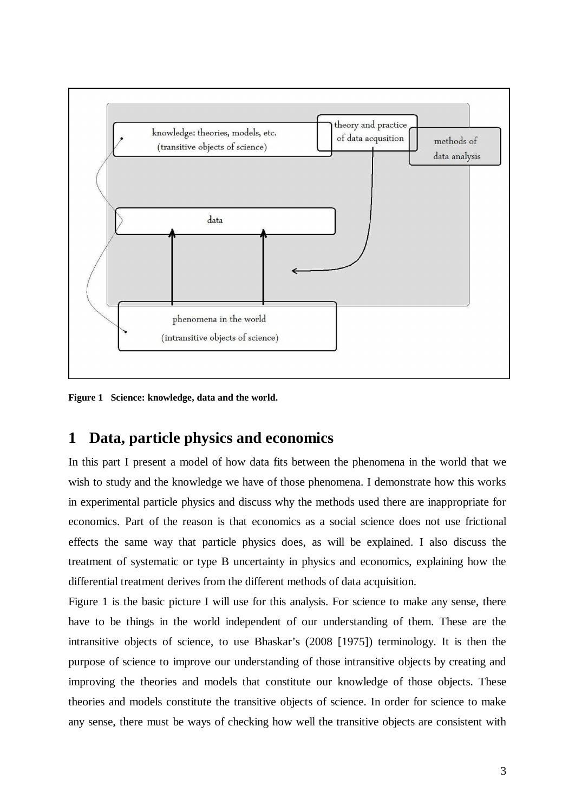

**Figure 1 Science: knowledge, data and the world.**

# **1 Data, particle physics and economics**

In this part I present a model of how data fits between the phenomena in the world that we wish to study and the knowledge we have of those phenomena. I demonstrate how this works in experimental particle physics and discuss why the methods used there are inappropriate for economics. Part of the reason is that economics as a social science does not use frictional effects the same way that particle physics does, as will be explained. I also discuss the treatment of systematic or type B uncertainty in physics and economics, explaining how the differential treatment derives from the different methods of data acquisition.

Figure 1 is the basic picture I will use for this analysis. For science to make any sense, there have to be things in the world independent of our understanding of them. These are the intransitive objects of science, to use Bhaskar's (2008 [1975]) terminology. It is then the purpose of science to improve our understanding of those intransitive objects by creating and improving the theories and models that constitute our knowledge of those objects. These theories and models constitute the transitive objects of science. In order for science to make any sense, there must be ways of checking how well the transitive objects are consistent with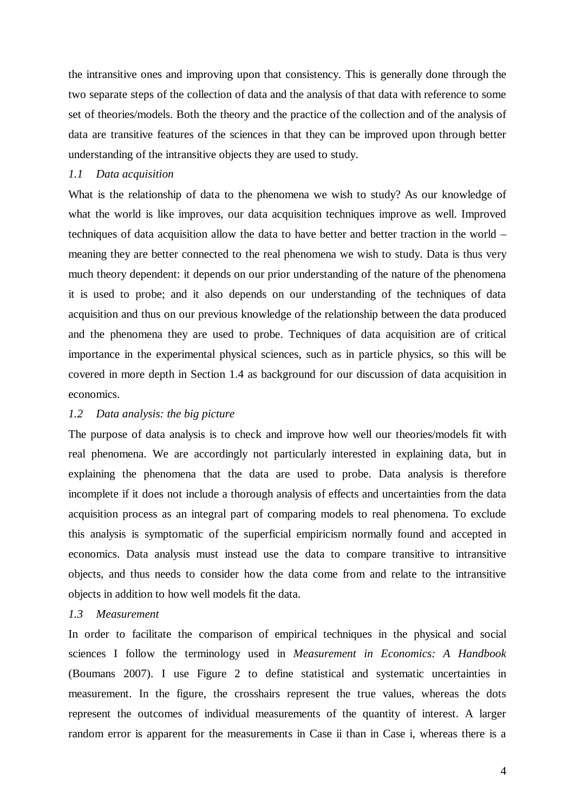the intransitive ones and improving upon that consistency. This is generally done through the two separate steps of the collection of data and the analysis of that data with reference to some set of theories/models. Both the theory and the practice of the collection and of the analysis of data are transitive features of the sciences in that they can be improved upon through better understanding of the intransitive objects they are used to study.

### *1.1 Data acquisition*

What is the relationship of data to the phenomena we wish to study? As our knowledge of what the world is like improves, our data acquisition techniques improve as well. Improved techniques of data acquisition allow the data to have better and better traction in the world – meaning they are better connected to the real phenomena we wish to study. Data is thus very much theory dependent: it depends on our prior understanding of the nature of the phenomena it is used to probe; and it also depends on our understanding of the techniques of data acquisition and thus on our previous knowledge of the relationship between the data produced and the phenomena they are used to probe. Techniques of data acquisition are of critical importance in the experimental physical sciences, such as in particle physics, so this will be covered in more depth in Section 1.4 as background for our discussion of data acquisition in economics.

### *1.2 Data analysis: the big picture*

The purpose of data analysis is to check and improve how well our theories/models fit with real phenomena. We are accordingly not particularly interested in explaining data, but in explaining the phenomena that the data are used to probe. Data analysis is therefore incomplete if it does not include a thorough analysis of effects and uncertainties from the data acquisition process as an integral part of comparing models to real phenomena. To exclude this analysis is symptomatic of the superficial empiricism normally found and accepted in economics. Data analysis must instead use the data to compare transitive to intransitive objects, and thus needs to consider how the data come from and relate to the intransitive objects in addition to how well models fit the data.

#### *1.3 Measurement*

In order to facilitate the comparison of empirical techniques in the physical and social sciences I follow the terminology used in *Measurement in Economics: A Handbook* (Boumans 2007). I use Figure 2 to define statistical and systematic uncertainties in measurement. In the figure, the crosshairs represent the true values, whereas the dots represent the outcomes of individual measurements of the quantity of interest. A larger random error is apparent for the measurements in Case ii than in Case i, whereas there is a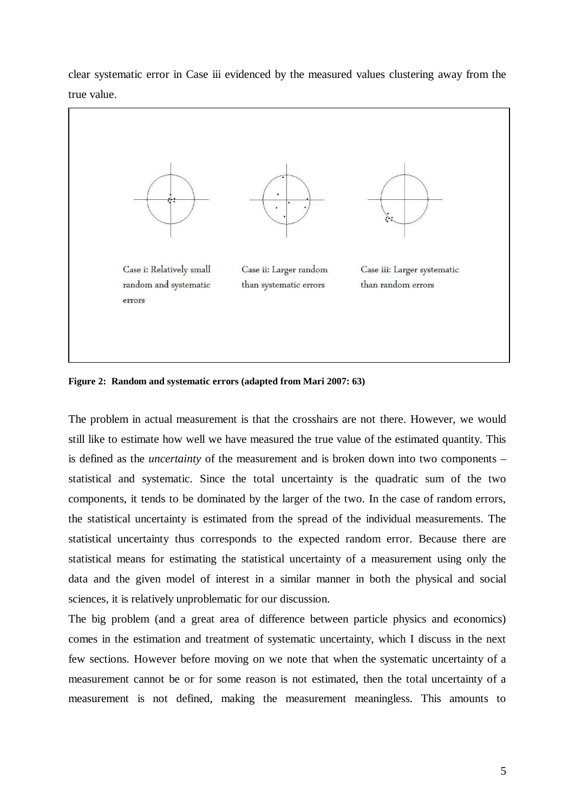clear systematic error in Case iii evidenced by the measured values clustering away from the true value.



**Figure 2: Random and systematic errors (adapted from Mari 2007: 63)**

The problem in actual measurement is that the crosshairs are not there. However, we would still like to estimate how well we have measured the true value of the estimated quantity. This is defined as the *uncertainty* of the measurement and is broken down into two components – statistical and systematic. Since the total uncertainty is the quadratic sum of the two components, it tends to be dominated by the larger of the two. In the case of random errors, the statistical uncertainty is estimated from the spread of the individual measurements. The statistical uncertainty thus corresponds to the expected random error. Because there are statistical means for estimating the statistical uncertainty of a measurement using only the data and the given model of interest in a similar manner in both the physical and social sciences, it is relatively unproblematic for our discussion.

The big problem (and a great area of difference between particle physics and economics) comes in the estimation and treatment of systematic uncertainty, which I discuss in the next few sections. However before moving on we note that when the systematic uncertainty of a measurement cannot be or for some reason is not estimated, then the total uncertainty of a measurement is not defined, making the measurement meaningless. This amounts to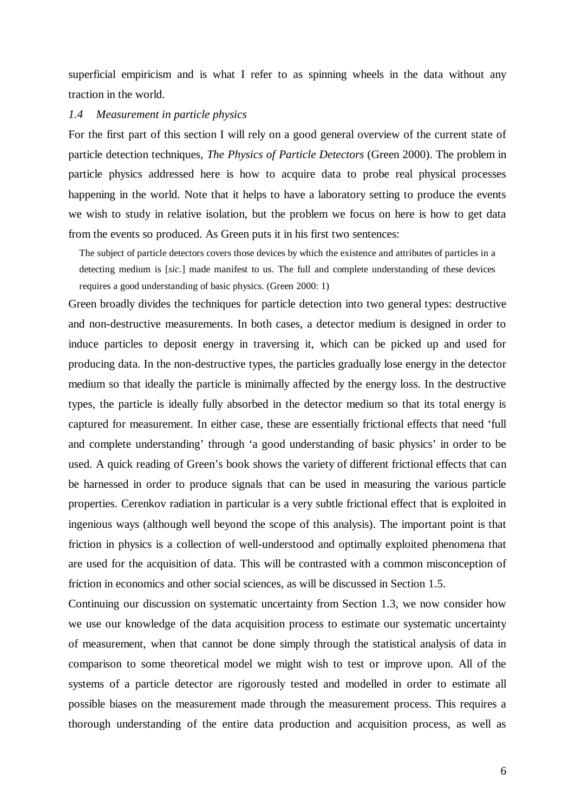superficial empiricism and is what I refer to as spinning wheels in the data without any traction in the world.

#### *1.4 Measurement in particle physics*

For the first part of this section I will rely on a good general overview of the current state of particle detection techniques, *The Physics of Particle Detectors* (Green 2000). The problem in particle physics addressed here is how to acquire data to probe real physical processes happening in the world. Note that it helps to have a laboratory setting to produce the events we wish to study in relative isolation, but the problem we focus on here is how to get data from the events so produced. As Green puts it in his first two sentences:

The subject of particle detectors covers those devices by which the existence and attributes of particles in a detecting medium is [*sic.*] made manifest to us. The full and complete understanding of these devices requires a good understanding of basic physics. (Green 2000: 1)

Green broadly divides the techniques for particle detection into two general types: destructive and non-destructive measurements. In both cases, a detector medium is designed in order to induce particles to deposit energy in traversing it, which can be picked up and used for producing data. In the non-destructive types, the particles gradually lose energy in the detector medium so that ideally the particle is minimally affected by the energy loss. In the destructive types, the particle is ideally fully absorbed in the detector medium so that its total energy is captured for measurement. In either case, these are essentially frictional effects that need 'full and complete understanding' through 'a good understanding of basic physics' in order to be used. A quick reading of Green's book shows the variety of different frictional effects that can be harnessed in order to produce signals that can be used in measuring the various particle properties. Cerenkov radiation in particular is a very subtle frictional effect that is exploited in ingenious ways (although well beyond the scope of this analysis). The important point is that friction in physics is a collection of well-understood and optimally exploited phenomena that are used for the acquisition of data. This will be contrasted with a common misconception of friction in economics and other social sciences, as will be discussed in Section 1.5.

Continuing our discussion on systematic uncertainty from Section 1.3, we now consider how we use our knowledge of the data acquisition process to estimate our systematic uncertainty of measurement, when that cannot be done simply through the statistical analysis of data in comparison to some theoretical model we might wish to test or improve upon. All of the systems of a particle detector are rigorously tested and modelled in order to estimate all possible biases on the measurement made through the measurement process. This requires a thorough understanding of the entire data production and acquisition process, as well as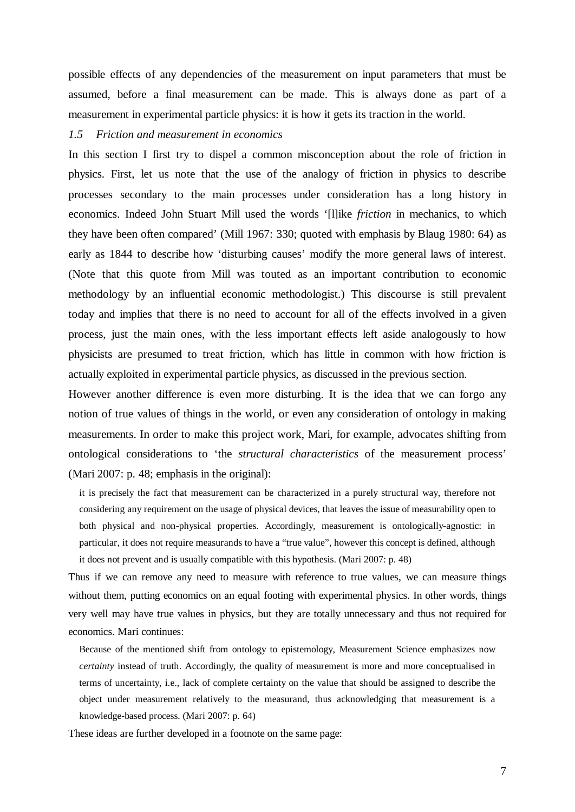possible effects of any dependencies of the measurement on input parameters that must be assumed, before a final measurement can be made. This is always done as part of a measurement in experimental particle physics: it is how it gets its traction in the world.

### *1.5 Friction and measurement in economics*

In this section I first try to dispel a common misconception about the role of friction in physics. First, let us note that the use of the analogy of friction in physics to describe processes secondary to the main processes under consideration has a long history in economics. Indeed John Stuart Mill used the words '[l]ike *friction* in mechanics, to which they have been often compared' (Mill 1967: 330; quoted with emphasis by Blaug 1980: 64) as early as 1844 to describe how 'disturbing causes' modify the more general laws of interest. (Note that this quote from Mill was touted as an important contribution to economic methodology by an influential economic methodologist.) This discourse is still prevalent today and implies that there is no need to account for all of the effects involved in a given process, just the main ones, with the less important effects left aside analogously to how physicists are presumed to treat friction, which has little in common with how friction is actually exploited in experimental particle physics, as discussed in the previous section.

However another difference is even more disturbing. It is the idea that we can forgo any notion of true values of things in the world, or even any consideration of ontology in making measurements. In order to make this project work, Mari, for example, advocates shifting from ontological considerations to 'the *structural characteristics* of the measurement process' (Mari 2007: p. 48; emphasis in the original):

it is precisely the fact that measurement can be characterized in a purely structural way, therefore not considering any requirement on the usage of physical devices, that leaves the issue of measurability open to both physical and non-physical properties. Accordingly, measurement is ontologically-agnostic: in particular, it does not require measurands to have a "true value", however this concept is defined, although it does not prevent and is usually compatible with this hypothesis. (Mari 2007: p. 48)

Thus if we can remove any need to measure with reference to true values, we can measure things without them, putting economics on an equal footing with experimental physics. In other words, things very well may have true values in physics, but they are totally unnecessary and thus not required for economics. Mari continues:

Because of the mentioned shift from ontology to epistemology, Measurement Science emphasizes now *certainty* instead of truth. Accordingly, the quality of measurement is more and more conceptualised in terms of uncertainty, i.e., lack of complete certainty on the value that should be assigned to describe the object under measurement relatively to the measurand, thus acknowledging that measurement is a knowledge-based process. (Mari 2007: p. 64)

These ideas are further developed in a footnote on the same page: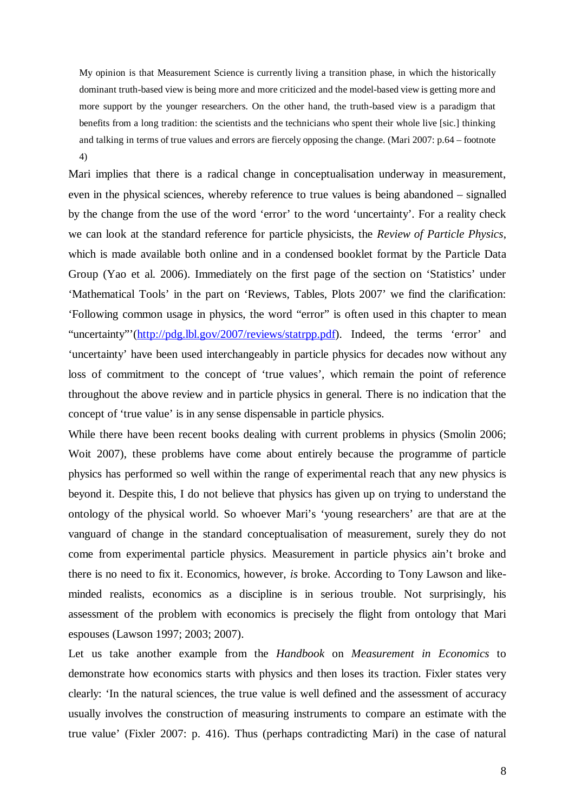My opinion is that Measurement Science is currently living a transition phase, in which the historically dominant truth-based view is being more and more criticized and the model-based view is getting more and more support by the younger researchers. On the other hand, the truth-based view is a paradigm that benefits from a long tradition: the scientists and the technicians who spent their whole live [sic.] thinking and talking in terms of true values and errors are fiercely opposing the change. (Mari 2007: p.64 – footnote 4)

Mari implies that there is a radical change in conceptualisation underway in measurement, even in the physical sciences, whereby reference to true values is being abandoned – signalled by the change from the use of the word 'error' to the word 'uncertainty'. For a reality check we can look at the standard reference for particle physicists, the *Review of Particle Physics*, which is made available both online and in a condensed booklet format by the Particle Data Group (Yao et al. 2006). Immediately on the first page of the section on 'Statistics' under 'Mathematical Tools' in the part on 'Reviews, Tables, Plots 2007' we find the clarification: 'Following common usage in physics, the word "error" is often used in this chapter to mean "uncertainty"'(http://pdg.lbl.gov/2007/reviews/statrpp.pdf). Indeed, the terms 'error' and 'uncertainty' have been used interchangeably in particle physics for decades now without any loss of commitment to the concept of 'true values', which remain the point of reference throughout the above review and in particle physics in general. There is no indication that the concept of 'true value' is in any sense dispensable in particle physics.

While there have been recent books dealing with current problems in physics (Smolin 2006; Woit 2007), these problems have come about entirely because the programme of particle physics has performed so well within the range of experimental reach that any new physics is beyond it. Despite this, I do not believe that physics has given up on trying to understand the ontology of the physical world. So whoever Mari's 'young researchers' are that are at the vanguard of change in the standard conceptualisation of measurement, surely they do not come from experimental particle physics. Measurement in particle physics ain't broke and there is no need to fix it. Economics, however, *is* broke. According to Tony Lawson and likeminded realists, economics as a discipline is in serious trouble. Not surprisingly, his assessment of the problem with economics is precisely the flight from ontology that Mari espouses (Lawson 1997; 2003; 2007).

Let us take another example from the *Handbook* on *Measurement in Economics* to demonstrate how economics starts with physics and then loses its traction. Fixler states very clearly: 'In the natural sciences, the true value is well defined and the assessment of accuracy usually involves the construction of measuring instruments to compare an estimate with the true value' (Fixler 2007: p. 416). Thus (perhaps contradicting Mari) in the case of natural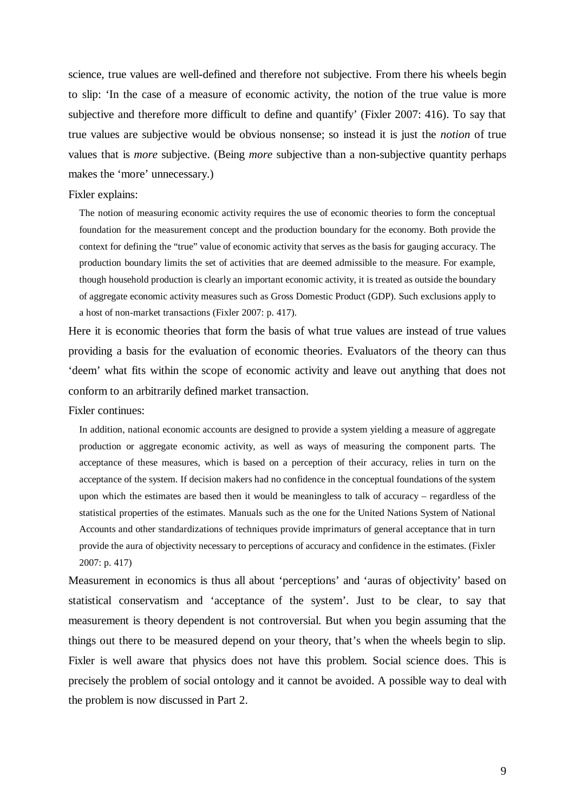science, true values are well-defined and therefore not subjective. From there his wheels begin to slip: 'In the case of a measure of economic activity, the notion of the true value is more subjective and therefore more difficult to define and quantify' (Fixler 2007: 416). To say that true values are subjective would be obvious nonsense; so instead it is just the *notion* of true values that is *more* subjective. (Being *more* subjective than a non-subjective quantity perhaps makes the 'more' unnecessary.)

#### Fixler explains:

The notion of measuring economic activity requires the use of economic theories to form the conceptual foundation for the measurement concept and the production boundary for the economy. Both provide the context for defining the "true" value of economic activity that serves as the basis for gauging accuracy. The production boundary limits the set of activities that are deemed admissible to the measure. For example, though household production is clearly an important economic activity, it is treated as outside the boundary of aggregate economic activity measures such as Gross Domestic Product (GDP). Such exclusions apply to a host of non-market transactions (Fixler 2007: p. 417).

Here it is economic theories that form the basis of what true values are instead of true values providing a basis for the evaluation of economic theories. Evaluators of the theory can thus 'deem' what fits within the scope of economic activity and leave out anything that does not conform to an arbitrarily defined market transaction.

Fixler continues:

In addition, national economic accounts are designed to provide a system yielding a measure of aggregate production or aggregate economic activity, as well as ways of measuring the component parts. The acceptance of these measures, which is based on a perception of their accuracy, relies in turn on the acceptance of the system. If decision makers had no confidence in the conceptual foundations of the system upon which the estimates are based then it would be meaningless to talk of accuracy – regardless of the statistical properties of the estimates. Manuals such as the one for the United Nations System of National Accounts and other standardizations of techniques provide imprimaturs of general acceptance that in turn provide the aura of objectivity necessary to perceptions of accuracy and confidence in the estimates. (Fixler 2007: p. 417)

Measurement in economics is thus all about 'perceptions' and 'auras of objectivity' based on statistical conservatism and 'acceptance of the system'. Just to be clear, to say that measurement is theory dependent is not controversial. But when you begin assuming that the things out there to be measured depend on your theory, that's when the wheels begin to slip. Fixler is well aware that physics does not have this problem. Social science does. This is precisely the problem of social ontology and it cannot be avoided. A possible way to deal with the problem is now discussed in Part 2.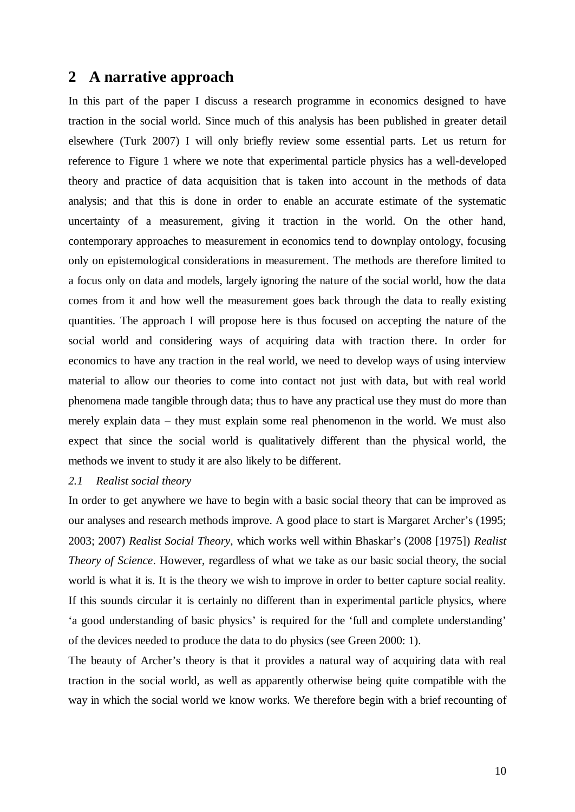# **2 A narrative approach**

In this part of the paper I discuss a research programme in economics designed to have traction in the social world. Since much of this analysis has been published in greater detail elsewhere (Turk 2007) I will only briefly review some essential parts. Let us return for reference to Figure 1 where we note that experimental particle physics has a well-developed theory and practice of data acquisition that is taken into account in the methods of data analysis; and that this is done in order to enable an accurate estimate of the systematic uncertainty of a measurement, giving it traction in the world. On the other hand, contemporary approaches to measurement in economics tend to downplay ontology, focusing only on epistemological considerations in measurement. The methods are therefore limited to a focus only on data and models, largely ignoring the nature of the social world, how the data comes from it and how well the measurement goes back through the data to really existing quantities. The approach I will propose here is thus focused on accepting the nature of the social world and considering ways of acquiring data with traction there. In order for economics to have any traction in the real world, we need to develop ways of using interview material to allow our theories to come into contact not just with data, but with real world phenomena made tangible through data; thus to have any practical use they must do more than merely explain data – they must explain some real phenomenon in the world. We must also expect that since the social world is qualitatively different than the physical world, the methods we invent to study it are also likely to be different.

### *2.1 Realist social theory*

In order to get anywhere we have to begin with a basic social theory that can be improved as our analyses and research methods improve. A good place to start is Margaret Archer's (1995; 2003; 2007) *Realist Social Theory*, which works well within Bhaskar's (2008 [1975]) *Realist Theory of Science*. However, regardless of what we take as our basic social theory, the social world is what it is. It is the theory we wish to improve in order to better capture social reality. If this sounds circular it is certainly no different than in experimental particle physics, where 'a good understanding of basic physics' is required for the 'full and complete understanding' of the devices needed to produce the data to do physics (see Green 2000: 1).

The beauty of Archer's theory is that it provides a natural way of acquiring data with real traction in the social world, as well as apparently otherwise being quite compatible with the way in which the social world we know works. We therefore begin with a brief recounting of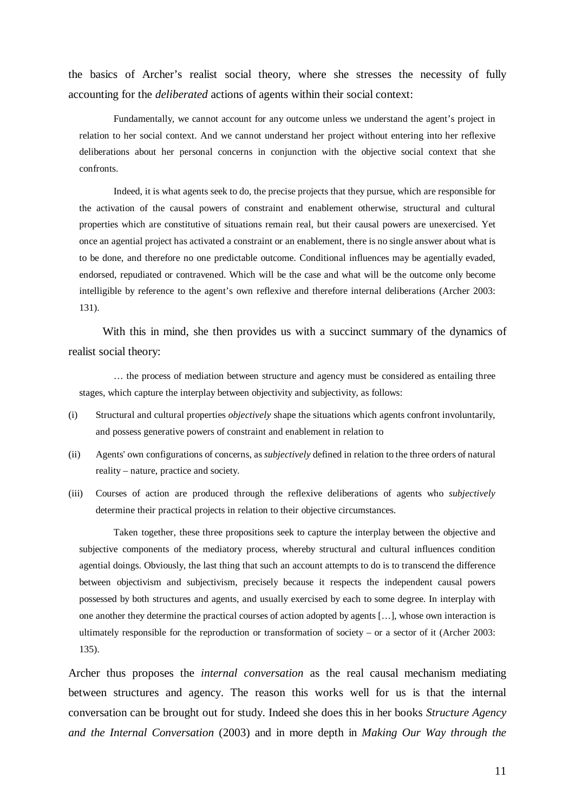the basics of Archer's realist social theory, where she stresses the necessity of fully accounting for the *deliberated* actions of agents within their social context:

Fundamentally, we cannot account for any outcome unless we understand the agent's project in relation to her social context. And we cannot understand her project without entering into her reflexive deliberations about her personal concerns in conjunction with the objective social context that she confronts.

Indeed, it is what agents seek to do, the precise projects that they pursue, which are responsible for the activation of the causal powers of constraint and enablement otherwise, structural and cultural properties which are constitutive of situations remain real, but their causal powers are unexercised. Yet once an agential project has activated a constraint or an enablement, there is no single answer about what is to be done, and therefore no one predictable outcome. Conditional influences may be agentially evaded, endorsed, repudiated or contravened. Which will be the case and what will be the outcome only become intelligible by reference to the agent's own reflexive and therefore internal deliberations (Archer 2003: 131).

With this in mind, she then provides us with a succinct summary of the dynamics of realist social theory:

… the process of mediation between structure and agency must be considered as entailing three stages, which capture the interplay between objectivity and subjectivity, as follows:

- (i) Structural and cultural properties *objectively* shape the situations which agents confront involuntarily, and possess generative powers of constraint and enablement in relation to
- (ii) Agents' own configurations of concerns, as *subjectively* defined in relation to the three orders of natural reality – nature, practice and society.
- (iii) Courses of action are produced through the reflexive deliberations of agents who *subjectively* determine their practical projects in relation to their objective circumstances.

Taken together, these three propositions seek to capture the interplay between the objective and subjective components of the mediatory process, whereby structural and cultural influences condition agential doings. Obviously, the last thing that such an account attempts to do is to transcend the difference between objectivism and subjectivism, precisely because it respects the independent causal powers possessed by both structures and agents, and usually exercised by each to some degree. In interplay with one another they determine the practical courses of action adopted by agents […], whose own interaction is ultimately responsible for the reproduction or transformation of society – or a sector of it (Archer 2003: 135).

Archer thus proposes the *internal conversation* as the real causal mechanism mediating between structures and agency. The reason this works well for us is that the internal conversation can be brought out for study. Indeed she does this in her books *Structure Agency and the Internal Conversation* (2003) and in more depth in *Making Our Way through the*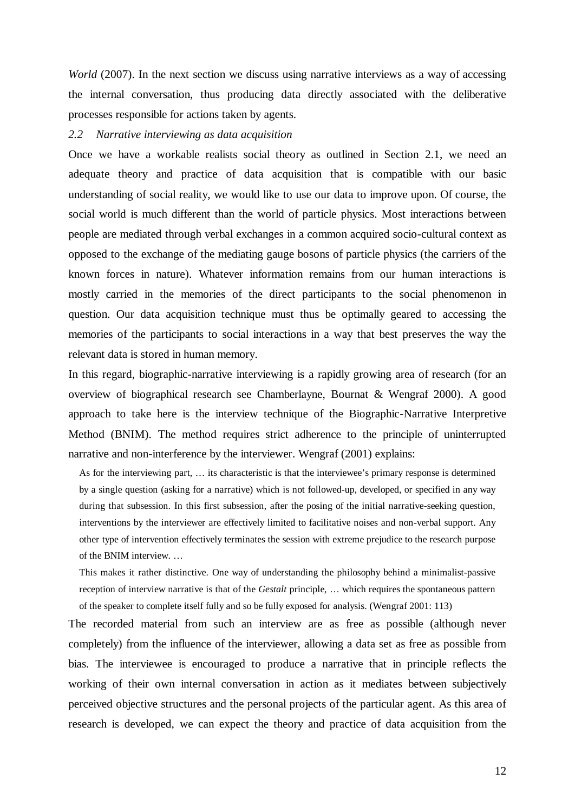*World* (2007). In the next section we discuss using narrative interviews as a way of accessing the internal conversation, thus producing data directly associated with the deliberative processes responsible for actions taken by agents.

### *2.2 Narrative interviewing as data acquisition*

Once we have a workable realists social theory as outlined in Section 2.1, we need an adequate theory and practice of data acquisition that is compatible with our basic understanding of social reality, we would like to use our data to improve upon. Of course, the social world is much different than the world of particle physics. Most interactions between people are mediated through verbal exchanges in a common acquired socio-cultural context as opposed to the exchange of the mediating gauge bosons of particle physics (the carriers of the known forces in nature). Whatever information remains from our human interactions is mostly carried in the memories of the direct participants to the social phenomenon in question. Our data acquisition technique must thus be optimally geared to accessing the memories of the participants to social interactions in a way that best preserves the way the relevant data is stored in human memory.

In this regard, biographic-narrative interviewing is a rapidly growing area of research (for an overview of biographical research see Chamberlayne, Bournat & Wengraf 2000). A good approach to take here is the interview technique of the Biographic-Narrative Interpretive Method (BNIM). The method requires strict adherence to the principle of uninterrupted narrative and non-interference by the interviewer. Wengraf (2001) explains:

As for the interviewing part, … its characteristic is that the interviewee's primary response is determined by a single question (asking for a narrative) which is not followed-up, developed, or specified in any way during that subsession. In this first subsession, after the posing of the initial narrative-seeking question, interventions by the interviewer are effectively limited to facilitative noises and non-verbal support. Any other type of intervention effectively terminates the session with extreme prejudice to the research purpose of the BNIM interview. …

This makes it rather distinctive. One way of understanding the philosophy behind a minimalist-passive reception of interview narrative is that of the *Gestalt* principle, … which requires the spontaneous pattern of the speaker to complete itself fully and so be fully exposed for analysis. (Wengraf 2001: 113)

The recorded material from such an interview are as free as possible (although never completely) from the influence of the interviewer, allowing a data set as free as possible from bias. The interviewee is encouraged to produce a narrative that in principle reflects the working of their own internal conversation in action as it mediates between subjectively perceived objective structures and the personal projects of the particular agent. As this area of research is developed, we can expect the theory and practice of data acquisition from the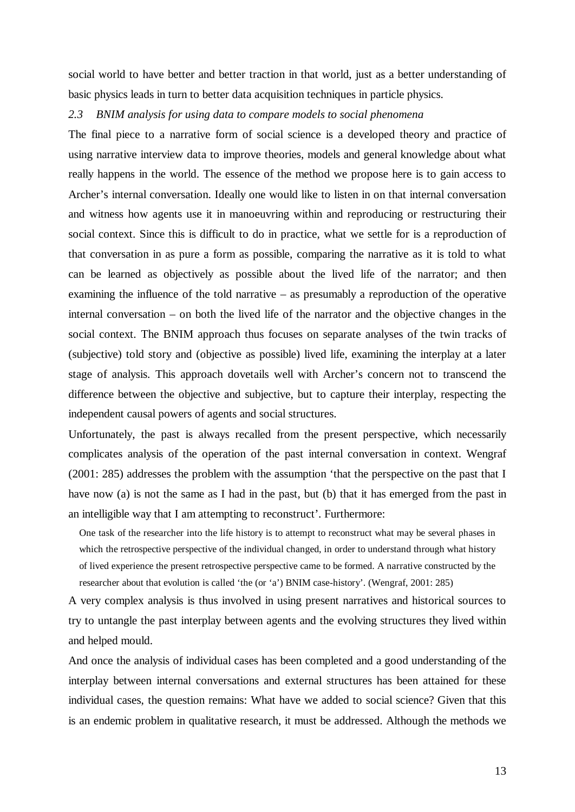social world to have better and better traction in that world, just as a better understanding of basic physics leads in turn to better data acquisition techniques in particle physics.

*2.3 BNIM analysis for using data to compare models to social phenomena*

The final piece to a narrative form of social science is a developed theory and practice of using narrative interview data to improve theories, models and general knowledge about what really happens in the world. The essence of the method we propose here is to gain access to Archer's internal conversation. Ideally one would like to listen in on that internal conversation and witness how agents use it in manoeuvring within and reproducing or restructuring their social context. Since this is difficult to do in practice, what we settle for is a reproduction of that conversation in as pure a form as possible, comparing the narrative as it is told to what can be learned as objectively as possible about the lived life of the narrator; and then examining the influence of the told narrative – as presumably a reproduction of the operative internal conversation – on both the lived life of the narrator and the objective changes in the social context. The BNIM approach thus focuses on separate analyses of the twin tracks of (subjective) told story and (objective as possible) lived life, examining the interplay at a later stage of analysis. This approach dovetails well with Archer's concern not to transcend the difference between the objective and subjective, but to capture their interplay, respecting the independent causal powers of agents and social structures.

Unfortunately, the past is always recalled from the present perspective, which necessarily complicates analysis of the operation of the past internal conversation in context. Wengraf (2001: 285) addresses the problem with the assumption 'that the perspective on the past that I have now (a) is not the same as I had in the past, but (b) that it has emerged from the past in an intelligible way that I am attempting to reconstruct'. Furthermore:

One task of the researcher into the life history is to attempt to reconstruct what may be several phases in which the retrospective perspective of the individual changed, in order to understand through what history of lived experience the present retrospective perspective came to be formed. A narrative constructed by the researcher about that evolution is called 'the (or 'a') BNIM case-history'. (Wengraf, 2001: 285)

A very complex analysis is thus involved in using present narratives and historical sources to try to untangle the past interplay between agents and the evolving structures they lived within and helped mould.

And once the analysis of individual cases has been completed and a good understanding of the interplay between internal conversations and external structures has been attained for these individual cases, the question remains: What have we added to social science? Given that this is an endemic problem in qualitative research, it must be addressed. Although the methods we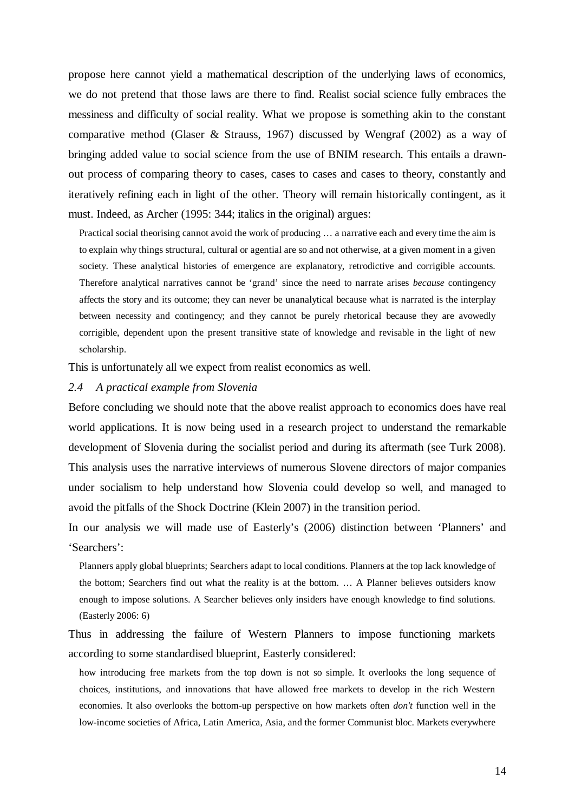propose here cannot yield a mathematical description of the underlying laws of economics, we do not pretend that those laws are there to find. Realist social science fully embraces the messiness and difficulty of social reality. What we propose is something akin to the constant comparative method (Glaser & Strauss, 1967) discussed by Wengraf (2002) as a way of bringing added value to social science from the use of BNIM research. This entails a drawnout process of comparing theory to cases, cases to cases and cases to theory, constantly and iteratively refining each in light of the other. Theory will remain historically contingent, as it must. Indeed, as Archer (1995: 344; italics in the original) argues:

Practical social theorising cannot avoid the work of producing … a narrative each and every time the aim is to explain why things structural, cultural or agential are so and not otherwise, at a given moment in a given society. These analytical histories of emergence are explanatory, retrodictive and corrigible accounts. Therefore analytical narratives cannot be 'grand' since the need to narrate arises *because* contingency affects the story and its outcome; they can never be unanalytical because what is narrated is the interplay between necessity and contingency; and they cannot be purely rhetorical because they are avowedly corrigible, dependent upon the present transitive state of knowledge and revisable in the light of new scholarship.

This is unfortunately all we expect from realist economics as well.

#### *2.4 A practical example from Slovenia*

Before concluding we should note that the above realist approach to economics does have real world applications. It is now being used in a research project to understand the remarkable development of Slovenia during the socialist period and during its aftermath (see Turk 2008). This analysis uses the narrative interviews of numerous Slovene directors of major companies under socialism to help understand how Slovenia could develop so well, and managed to avoid the pitfalls of the Shock Doctrine (Klein 2007) in the transition period.

In our analysis we will made use of Easterly's (2006) distinction between 'Planners' and 'Searchers':

Planners apply global blueprints; Searchers adapt to local conditions. Planners at the top lack knowledge of the bottom; Searchers find out what the reality is at the bottom. … A Planner believes outsiders know enough to impose solutions. A Searcher believes only insiders have enough knowledge to find solutions. (Easterly 2006: 6)

Thus in addressing the failure of Western Planners to impose functioning markets according to some standardised blueprint, Easterly considered:

how introducing free markets from the top down is not so simple. It overlooks the long sequence of choices, institutions, and innovations that have allowed free markets to develop in the rich Western economies. It also overlooks the bottom-up perspective on how markets often *don't* function well in the low-income societies of Africa, Latin America, Asia, and the former Communist bloc. Markets everywhere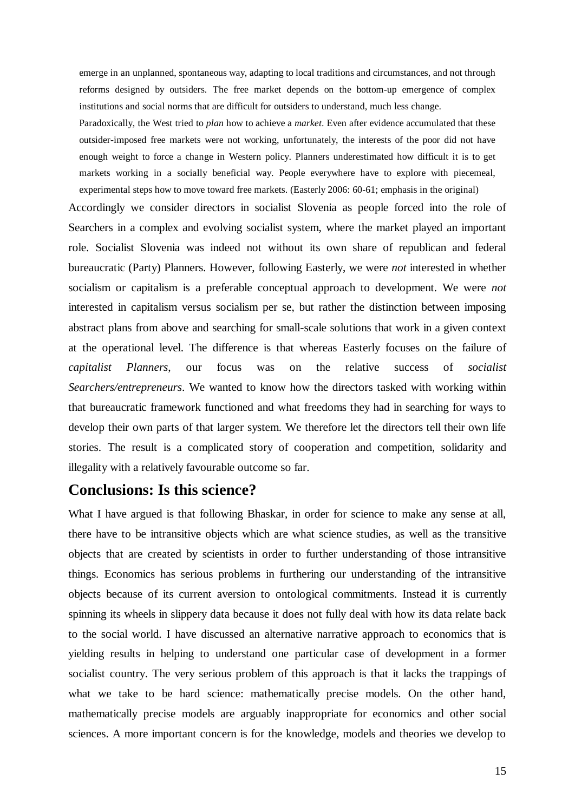emerge in an unplanned, spontaneous way, adapting to local traditions and circumstances, and not through reforms designed by outsiders. The free market depends on the bottom-up emergence of complex institutions and social norms that are difficult for outsiders to understand, much less change.

Paradoxically, the West tried to *plan* how to achieve a *market*. Even after evidence accumulated that these outsider-imposed free markets were not working, unfortunately, the interests of the poor did not have enough weight to force a change in Western policy. Planners underestimated how difficult it is to get markets working in a socially beneficial way. People everywhere have to explore with piecemeal, experimental steps how to move toward free markets. (Easterly 2006: 60-61; emphasis in the original)

Accordingly we consider directors in socialist Slovenia as people forced into the role of Searchers in a complex and evolving socialist system, where the market played an important role. Socialist Slovenia was indeed not without its own share of republican and federal bureaucratic (Party) Planners. However, following Easterly, we were *not* interested in whether socialism or capitalism is a preferable conceptual approach to development. We were *not* interested in capitalism versus socialism per se, but rather the distinction between imposing abstract plans from above and searching for small-scale solutions that work in a given context at the operational level. The difference is that whereas Easterly focuses on the failure of *capitalist Planners*, our focus was on the relative success of *socialist Searchers/entrepreneurs*. We wanted to know how the directors tasked with working within that bureaucratic framework functioned and what freedoms they had in searching for ways to develop their own parts of that larger system. We therefore let the directors tell their own life stories. The result is a complicated story of cooperation and competition, solidarity and illegality with a relatively favourable outcome so far.

# **Conclusions: Is this science?**

What I have argued is that following Bhaskar, in order for science to make any sense at all, there have to be intransitive objects which are what science studies, as well as the transitive objects that are created by scientists in order to further understanding of those intransitive things. Economics has serious problems in furthering our understanding of the intransitive objects because of its current aversion to ontological commitments. Instead it is currently spinning its wheels in slippery data because it does not fully deal with how its data relate back to the social world. I have discussed an alternative narrative approach to economics that is yielding results in helping to understand one particular case of development in a former socialist country. The very serious problem of this approach is that it lacks the trappings of what we take to be hard science: mathematically precise models. On the other hand, mathematically precise models are arguably inappropriate for economics and other social sciences. A more important concern is for the knowledge, models and theories we develop to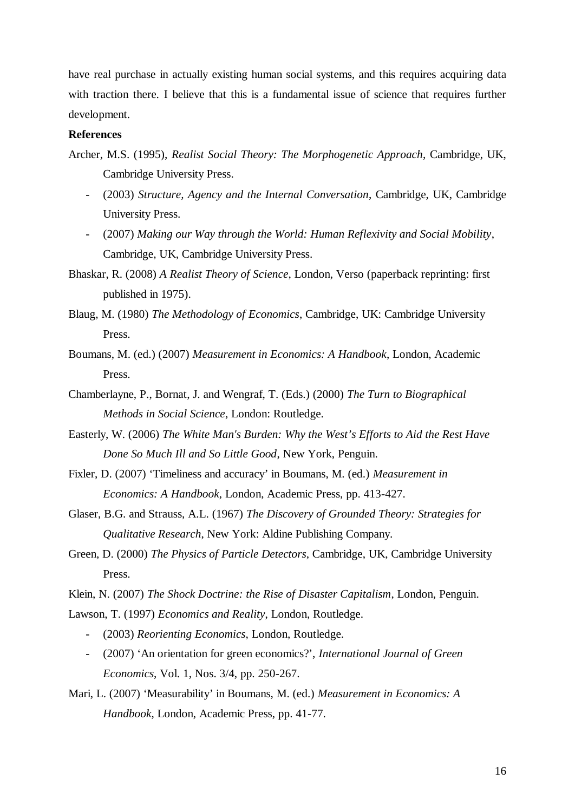have real purchase in actually existing human social systems, and this requires acquiring data with traction there. I believe that this is a fundamental issue of science that requires further development.

### **References**

Archer, M.S. (1995), *Realist Social Theory: The Morphogenetic Approach*, Cambridge, UK, Cambridge University Press.

- (2003) *Structure, Agency and the Internal Conversation*, Cambridge, UK, Cambridge University Press.
- (2007) *Making our Way through the World: Human Reflexivity and Social Mobility*, Cambridge, UK, Cambridge University Press.
- Bhaskar, R. (2008) *A Realist Theory of Science*, London, Verso (paperback reprinting: first published in 1975).
- Blaug, M. (1980) *The Methodology of Economics*, Cambridge, UK: Cambridge University Press.
- Boumans, M. (ed.) (2007) *Measurement in Economics: A Handbook*, London, Academic Press.
- Chamberlayne, P., Bornat, J. and Wengraf, T. (Eds.) (2000) *The Turn to Biographical Methods in Social Science*, London: Routledge.
- Easterly, W. (2006) *The White Man's Burden: Why the West's Efforts to Aid the Rest Have Done So Much Ill and So Little Good*, New York, Penguin.
- Fixler, D. (2007) 'Timeliness and accuracy' in Boumans, M. (ed.) *Measurement in Economics: A Handbook*, London, Academic Press, pp. 413-427.
- Glaser, B.G. and Strauss, A.L. (1967) *The Discovery of Grounded Theory: Strategies for Qualitative Research*, New York: Aldine Publishing Company.
- Green, D. (2000) *The Physics of Particle Detectors*, Cambridge, UK, Cambridge University Press.
- Klein, N. (2007) *The Shock Doctrine: the Rise of Disaster Capitalism*, London, Penguin.

Lawson, T. (1997) *Economics and Reality*, London, Routledge.

- (2003) *Reorienting Economics*, London, Routledge.
- (2007) 'An orientation for green economics?', *International Journal of Green Economics*, Vol. 1, Nos. 3/4, pp. 250-267.
- Mari, L. (2007) 'Measurability' in Boumans, M. (ed.) *Measurement in Economics: A Handbook*, London, Academic Press, pp. 41-77.